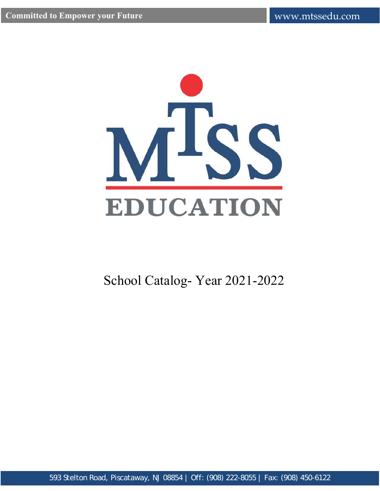

School Catalog- Year 2021-2022

593 Stelton Road, Piscataway, NJ 08854 | Off: (908) 222-8055 | Fax: (908) 450-6122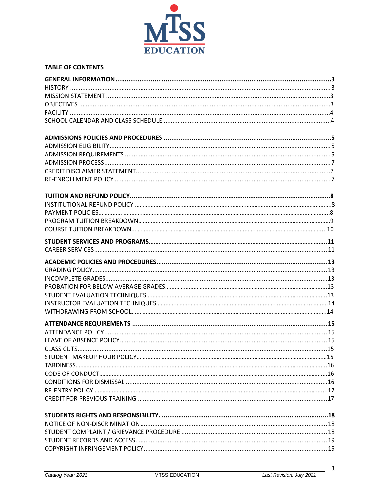

## **TABLE OF CONTENTS**

 $\mathbf{1}$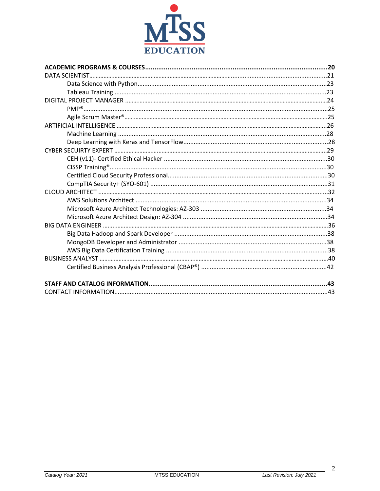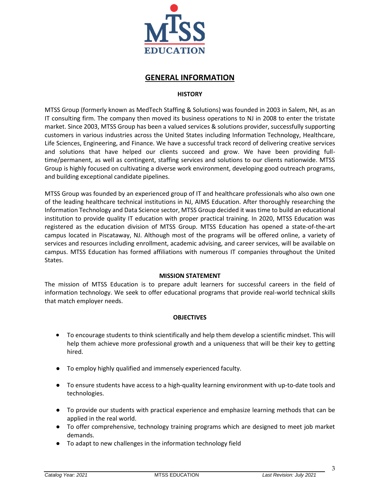

# **GENERAL INFORMATION**

## **HISTORY**

<span id="page-3-1"></span><span id="page-3-0"></span>MTSS Group (formerly known as MedTech Staffing & Solutions) was founded in 2003 in Salem, NH, as an IT consulting firm. The company then moved its business operations to NJ in 2008 to enter the tristate market. Since 2003, MTSS Group has been a valued services & solutions provider, successfully supporting customers in various industries across the United States including Information Technology, Healthcare, Life Sciences, Engineering, and Finance. We have a successful track record of delivering creative services and solutions that have helped our clients succeed and grow. We have been providing fulltime/permanent, as well as contingent, staffing services and solutions to our clients nationwide. MTSS Group is highly focused on cultivating a diverse work environment, developing good outreach programs, and building exceptional candidate pipelines.

MTSS Group was founded by an experienced group of IT and healthcare professionals who also own one of the leading healthcare technical institutions in NJ, AIMS Education. After thoroughly researching the Information Technology and Data Science sector, MTSS Group decided it was time to build an educational institution to provide quality IT education with proper practical training. In 2020, MTSS Education was registered as the education division of MTSS Group. MTSS Education has opened a state-of-the-art campus located in Piscataway, NJ. Although most of the programs will be offered online, a variety of services and resources including enrollment, academic advising, and career services, will be available on campus. MTSS Education has formed affiliations with numerous IT companies throughout the United States.

## **MISSION STATEMENT**

The mission of MTSS Education is to prepare adult learners for successful careers in the field of information technology. We seek to offer educational programs that provide real-world technical skills that match employer needs.

## **OBJECTIVES**

- <span id="page-3-2"></span>• To encourage students to think scientifically and help them develop a scientific mindset. This will help them achieve more professional growth and a uniqueness that will be their key to getting hired.
- To employ highly qualified and immensely experienced faculty.
- To ensure students have access to a high-quality learning environment with up-to-date tools and technologies.
- To provide our students with practical experience and emphasize learning methods that can be applied in the real world.
- To offer comprehensive, technology training programs which are designed to meet job market demands.
- To adapt to new challenges in the information technology field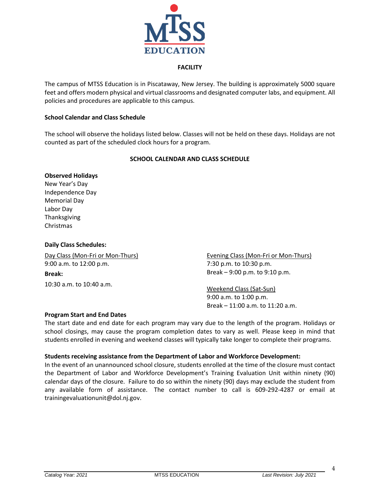

### **FACILITY**

<span id="page-4-0"></span>The campus of MTSS Education is in Piscataway, New Jersey. The building is approximately 5000 square feet and offers modern physical and virtual classrooms and designated computer labs, and equipment. All policies and procedures are applicable to this campus.

#### **School Calendar and Class Schedule**

The school will observe the holidays listed below. Classes will not be held on these days. Holidays are not counted as part of the scheduled clock hours for a program.

### **SCHOOL CALENDAR AND CLASS SCHEDULE**

#### <span id="page-4-1"></span>**Observed Holidays**

New Year's Day Independence Day Memorial Day Labor Day Thanksgiving Christmas

#### **Daily Class Schedules:**

Day Class (Mon-Fri or Mon-Thurs) 9:00 a.m. to 12:00 p.m. **Break:** 10:30 a.m. to 10:40 a.m.

Evening Class (Mon-Fri or Mon-Thurs) 7:30 p.m. to 10:30 p.m. Break – 9:00 p.m. to 9:10 p.m.

Weekend Class (Sat-Sun) 9:00 a.m. to 1:00 p.m. Break – 11:00 a.m. to 11:20 a.m.

#### **Program Start and End Dates**

The start date and end date for each program may vary due to the length of the program. Holidays or school closings, may cause the program completion dates to vary as well. Please keep in mind that students enrolled in evening and weekend classes will typically take longer to complete their programs.

#### **Students receiving assistance from the Department of Labor and Workforce Development:**

In the event of an unannounced school closure, students enrolled at the time of the closure must contact the Department of Labor and Workforce Development's Training Evaluation Unit within ninety (90) calendar days of the closure. Failure to do so within the ninety (90) days may exclude the student from any available form of assistance. The contact number to call is 609-292-4287 or email at trainingevaluationunit@dol.nj.gov.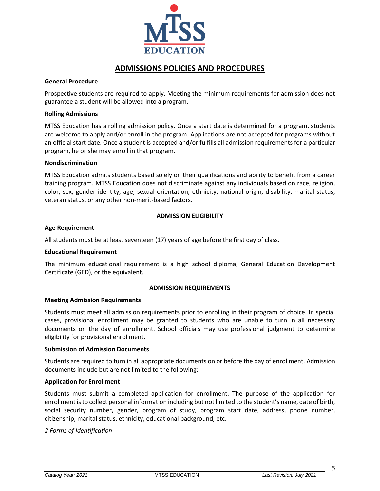

# **ADMISSIONS POLICIES AND PROCEDURES**

#### <span id="page-5-0"></span>**General Procedure**

Prospective students are required to apply. Meeting the minimum requirements for admission does not guarantee a student will be allowed into a program.

#### **Rolling Admissions**

MTSS Education has a rolling admission policy. Once a start date is determined for a program, students are welcome to apply and/or enroll in the program. Applications are not accepted for programs without an official start date. Once a student is accepted and/or fulfills all admission requirements for a particular program, he or she may enroll in that program.

#### **Nondiscrimination**

MTSS Education admits students based solely on their qualifications and ability to benefit from a career training program. MTSS Education does not discriminate against any individuals based on race, religion, color, sex, gender identity, age, sexual orientation, ethnicity, national origin, disability, marital status, veteran status, or any other non-merit-based factors.

## **ADMISSION ELIGIBILITY**

### <span id="page-5-1"></span>**Age Requirement**

All students must be at least seventeen (17) years of age before the first day of class.

#### **Educational Requirement**

The minimum educational requirement is a high school diploma, General Education Development Certificate (GED), or the equivalent.

## **ADMISSION REQUIREMENTS**

#### <span id="page-5-2"></span>**Meeting Admission Requirements**

Students must meet all admission requirements prior to enrolling in their program of choice. In special cases, provisional enrollment may be granted to students who are unable to turn in all necessary documents on the day of enrollment. School officials may use professional judgment to determine eligibility for provisional enrollment.

#### **Submission of Admission Documents**

Students are required to turn in all appropriate documents on or before the day of enrollment. Admission documents include but are not limited to the following:

### **Application for Enrollment**

Students must submit a completed application for enrollment. The purpose of the application for enrollment is to collect personal information including but not limited to the student's name, date of birth, social security number, gender, program of study, program start date, address, phone number, citizenship, marital status, ethnicity, educational background, etc.

#### *2 Forms of Identification*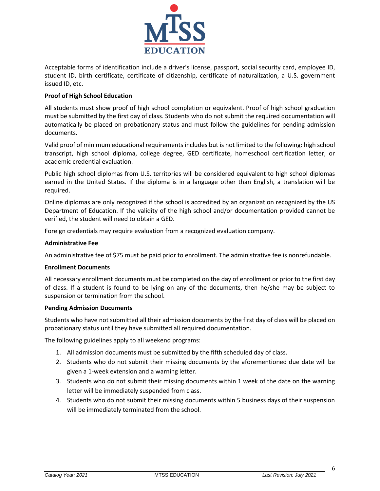

Acceptable forms of identification include a driver's license, passport, social security card, employee ID, student ID, birth certificate, certificate of citizenship, certificate of naturalization, a U.S. government issued ID, etc.

## **Proof of High School Education**

All students must show proof of high school completion or equivalent. Proof of high school graduation must be submitted by the first day of class. Students who do not submit the required documentation will automatically be placed on probationary status and must follow the guidelines for pending admission documents.

Valid proof of minimum educational requirements includes but is not limited to the following: high school transcript, high school diploma, college degree, GED certificate, homeschool certification letter, or academic credential evaluation.

Public high school diplomas from U.S. territories will be considered equivalent to high school diplomas earned in the United States. If the diploma is in a language other than English, a translation will be required.

Online diplomas are only recognized if the school is accredited by an organization recognized by the US Department of Education. If the validity of the high school and/or documentation provided cannot be verified, the student will need to obtain a GED.

Foreign credentials may require evaluation from a recognized evaluation company.

### **Administrative Fee**

An administrative fee of \$75 must be paid prior to enrollment. The administrative fee is nonrefundable.

#### **Enrollment Documents**

All necessary enrollment documents must be completed on the day of enrollment or prior to the first day of class. If a student is found to be lying on any of the documents, then he/she may be subject to suspension or termination from the school.

#### **Pending Admission Documents**

Students who have not submitted all their admission documents by the first day of class will be placed on probationary status until they have submitted all required documentation.

The following guidelines apply to all weekend programs:

- 1. All admission documents must be submitted by the fifth scheduled day of class.
- 2. Students who do not submit their missing documents by the aforementioned due date will be given a 1-week extension and a warning letter.
- 3. Students who do not submit their missing documents within 1 week of the date on the warning letter will be immediately suspended from class.
- 4. Students who do not submit their missing documents within 5 business days of their suspension will be immediately terminated from the school.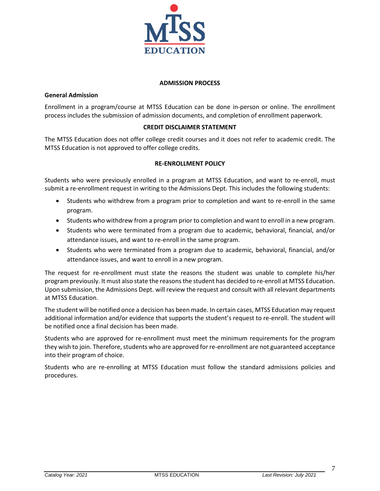

### **ADMISSION PROCESS**

### <span id="page-7-0"></span>**General Admission**

Enrollment in a program/course at MTSS Education can be done in-person or online. The enrollment process includes the submission of admission documents, and completion of enrollment paperwork.

## **CREDIT DISCLAIMER STATEMENT**

<span id="page-7-2"></span><span id="page-7-1"></span>The MTSS Education does not offer college credit courses and it does not refer to academic credit. The MTSS Education is not approved to offer college credits.

## **RE-ENROLLMENT POLICY**

Students who were previously enrolled in a program at MTSS Education, and want to re-enroll, must submit a re-enrollment request in writing to the Admissions Dept. This includes the following students:

- Students who withdrew from a program prior to completion and want to re-enroll in the same program.
- Students who withdrew from a program prior to completion and want to enroll in a new program.
- Students who were terminated from a program due to academic, behavioral, financial, and/or attendance issues, and want to re-enroll in the same program.
- Students who were terminated from a program due to academic, behavioral, financial, and/or attendance issues, and want to enroll in a new program.

The request for re-enrollment must state the reasons the student was unable to complete his/her program previously. It must also state the reasons the student has decided to re-enroll at MTSS Education. Upon submission, the Admissions Dept. will review the request and consult with all relevant departments at MTSS Education.

The student will be notified once a decision has been made. In certain cases, MTSS Education may request additional information and/or evidence that supports the student's request to re-enroll. The student will be notified once a final decision has been made.

Students who are approved for re-enrollment must meet the minimum requirements for the program they wish to join. Therefore, students who are approved for re-enrollment are not guaranteed acceptance into their program of choice.

Students who are re-enrolling at MTSS Education must follow the standard admissions policies and procedures.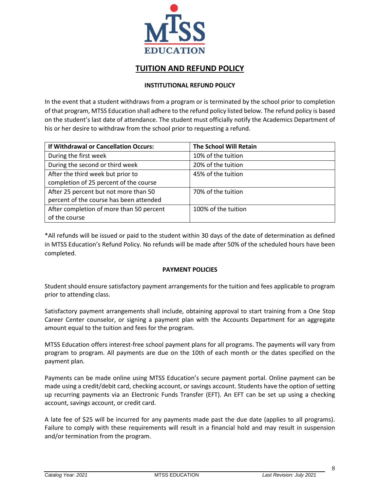

# **TUITION AND REFUND POLICY**

## **INSTITUTIONAL REFUND POLICY**

<span id="page-8-1"></span><span id="page-8-0"></span>In the event that a student withdraws from a program or is terminated by the school prior to completion of that program, MTSS Education shall adhere to the refund policy listed below. The refund policy is based on the student's last date of attendance. The student must officially notify the Academics Department of his or her desire to withdraw from the school prior to requesting a refund.

| If Withdrawal or Cancellation Occurs:    | <b>The School Will Retain</b> |
|------------------------------------------|-------------------------------|
| During the first week                    | 10% of the tuition            |
| During the second or third week          | 20% of the tuition            |
| After the third week but prior to        | 45% of the tuition            |
| completion of 25 percent of the course   |                               |
| After 25 percent but not more than 50    | 70% of the tuition            |
| percent of the course has been attended  |                               |
| After completion of more than 50 percent | 100% of the tuition           |
| of the course                            |                               |

\*All refunds will be issued or paid to the student within 30 days of the date of determination as defined in MTSS Education's Refund Policy. No refunds will be made after 50% of the scheduled hours have been completed.

## **PAYMENT POLICIES**

<span id="page-8-2"></span>Student should ensure satisfactory payment arrangements for the tuition and fees applicable to program prior to attending class.

Satisfactory payment arrangements shall include, obtaining approval to start training from a One Stop Career Center counselor, or signing a payment plan with the Accounts Department for an aggregate amount equal to the tuition and fees for the program.

MTSS Education offers interest-free school payment plans for all programs. The payments will vary from program to program. All payments are due on the 10th of each month or the dates specified on the payment plan.

Payments can be made online using MTSS Education's secure payment portal. Online payment can be made using a credit/debit card, checking account, or savings account. Students have the option of setting up recurring payments via an Electronic Funds Transfer (EFT). An EFT can be set up using a checking account, savings account, or credit card.

A late fee of \$25 will be incurred for any payments made past the due date (applies to all programs). Failure to comply with these requirements will result in a financial hold and may result in suspension and/or termination from the program.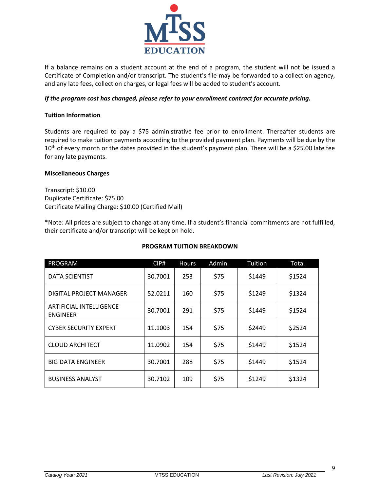

If a balance remains on a student account at the end of a program, the student will not be issued a Certificate of Completion and/or transcript. The student's file may be forwarded to a collection agency, and any late fees, collection charges, or legal fees will be added to student's account.

## *If the program cost has changed, please refer to your enrollment contract for accurate pricing.*

## **Tuition Information**

Students are required to pay a \$75 administrative fee prior to enrollment. Thereafter students are required to make tuition payments according to the provided payment plan. Payments will be due by the 10<sup>th</sup> of every month or the dates provided in the student's payment plan. There will be a \$25.00 late fee for any late payments.

## **Miscellaneous Charges**

Transcript: \$10.00 Duplicate Certificate: \$75.00 Certificate Mailing Charge: \$10.00 (Certified Mail)

\*Note: All prices are subject to change at any time. If a student's financial commitments are not fulfilled, their certificate and/or transcript will be kept on hold.

<span id="page-9-0"></span>

| <b>PROGRAM</b>                                    | CIPH    | <b>Hours</b> | Admin. | Tuition | Total  |
|---------------------------------------------------|---------|--------------|--------|---------|--------|
| <b>DATA SCIENTIST</b>                             | 30.7001 | 253          | \$75   | \$1449  | \$1524 |
| DIGITAL PROJECT MANAGER                           | 52.0211 | 160          | \$75   | \$1249  | \$1324 |
| <b>ARTIFICIAL INTELLIGENCE</b><br><b>ENGINEER</b> | 30.7001 | 291          | \$75   | \$1449  | \$1524 |
| <b>CYBER SECURITY EXPERT</b>                      | 11.1003 | 154          | \$75   | \$2449  | \$2524 |
| <b>CLOUD ARCHITECT</b>                            | 11.0902 | 154          | \$75   | \$1449  | \$1524 |
| <b>BIG DATA ENGINEER</b>                          | 30.7001 | 288          | \$75   | \$1449  | \$1524 |
| <b>BUSINESS ANALYST</b>                           | 30.7102 | 109          | \$75   | \$1249  | \$1324 |

## **PROGRAM TUITION BREAKDOWN**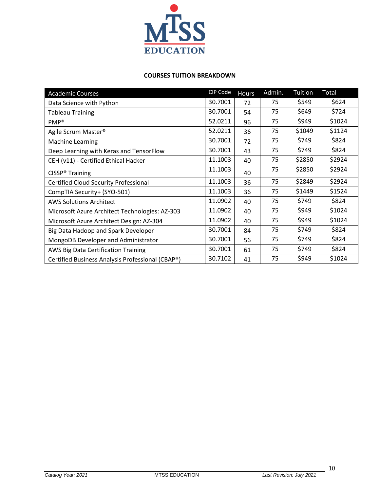

## **COURSES TUITION BREAKDOWN**

<span id="page-10-0"></span>

| <b>Academic Courses</b>                          | CIP Code | <b>Hours</b> | Admin. | <b>Tuition</b> | Total  |
|--------------------------------------------------|----------|--------------|--------|----------------|--------|
| Data Science with Python                         | 30.7001  | 72           | 75     | \$549          | \$624  |
| <b>Tableau Training</b>                          | 30.7001  | 54           | 75     | \$649          | \$724  |
| PMP <sup>®</sup>                                 | 52.0211  | 96           | 75     | \$949          | \$1024 |
| Agile Scrum Master <sup>®</sup>                  | 52.0211  | 36           | 75     | \$1049         | \$1124 |
| Machine Learning                                 | 30.7001  | 72           | 75     | \$749          | \$824  |
| Deep Learning with Keras and TensorFlow          | 30.7001  | 43           | 75     | \$749          | \$824  |
| CEH (v11) - Certified Ethical Hacker             | 11.1003  | 40           | 75     | \$2850         | \$2924 |
| CISSP <sup>®</sup> Training                      | 11.1003  | 40           | 75     | \$2850         | \$2924 |
| <b>Certified Cloud Security Professional</b>     | 11.1003  | 36           | 75     | \$2849         | \$2924 |
| CompTIA Security+ (SYO-501)                      | 11.1003  | 36           | 75     | \$1449         | \$1524 |
| <b>AWS Solutions Architect</b>                   | 11.0902  | 40           | 75     | \$749          | \$824  |
| Microsoft Azure Architect Technologies: AZ-303   | 11.0902  | 40           | 75     | \$949          | \$1024 |
| Microsoft Azure Architect Design: AZ-304         | 11.0902  | 40           | 75     | \$949          | \$1024 |
| Big Data Hadoop and Spark Developer              | 30.7001  | 84           | 75     | \$749          | \$824  |
| MongoDB Developer and Administrator              | 30.7001  | 56           | 75     | \$749          | \$824  |
| AWS Big Data Certification Training              | 30.7001  | 61           | 75     | \$749          | \$824  |
| Certified Business Analysis Professional (CBAP®) | 30.7102  | 41           | 75     | \$949          | \$1024 |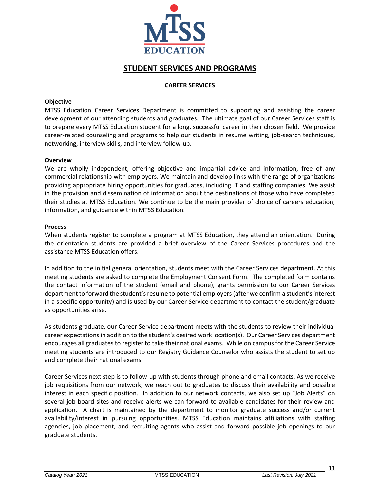

# **STUDENT SERVICES AND PROGRAMS**

### **CAREER SERVICES**

### <span id="page-11-1"></span><span id="page-11-0"></span>**Objective**

MTSS Education Career Services Department is committed to supporting and assisting the career development of our attending students and graduates. The ultimate goal of our Career Services staff is to prepare every MTSS Education student for a long, successful career in their chosen field. We provide career-related counseling and programs to help our students in resume writing, job-search techniques, networking, interview skills, and interview follow-up.

#### **Overview**

We are wholly independent, offering objective and impartial advice and information, free of any commercial relationship with employers. We maintain and develop links with the range of organizations providing appropriate hiring opportunities for graduates, including IT and staffing companies. We assist in the provision and dissemination of information about the destinations of those who have completed their studies at MTSS Education. We continue to be the main provider of choice of careers education, information, and guidance within MTSS Education.

#### **Process**

When students register to complete a program at MTSS Education, they attend an orientation. During the orientation students are provided a brief overview of the Career Services procedures and the assistance MTSS Education offers.

In addition to the initial general orientation, students meet with the Career Services department. At this meeting students are asked to complete the Employment Consent Form. The completed form contains the contact information of the student (email and phone), grants permission to our Career Services department to forward the student's resume to potential employers (after we confirm a student's interest in a specific opportunity) and is used by our Career Service department to contact the student/graduate as opportunities arise.

As students graduate, our Career Service department meets with the students to review their individual career expectations in addition to the student's desired work location(s). Our Career Services department encourages all graduates to register to take their national exams. While on campus for the Career Service meeting students are introduced to our Registry Guidance Counselor who assists the student to set up and complete their national exams.

Career Services next step is to follow-up with students through phone and email contacts. As we receive job requisitions from our network, we reach out to graduates to discuss their availability and possible interest in each specific position. In addition to our network contacts, we also set up "Job Alerts" on several job board sites and receive alerts we can forward to available candidates for their review and application. A chart is maintained by the department to monitor graduate success and/or current availability/interest in pursuing opportunities. MTSS Education maintains affiliations with staffing agencies, job placement, and recruiting agents who assist and forward possible job openings to our graduate students.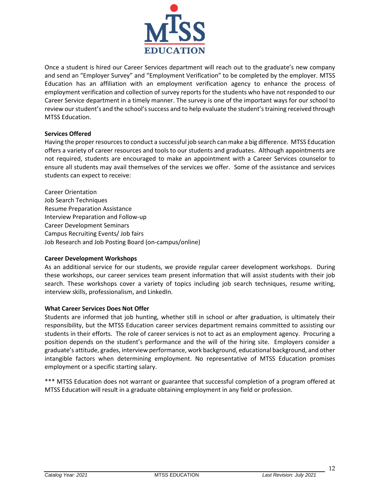

Once a student is hired our Career Services department will reach out to the graduate's new company and send an "Employer Survey" and "Employment Verification" to be completed by the employer. MTSS Education has an affiliation with an employment verification agency to enhance the process of employment verification and collection of survey reports for the students who have not responded to our Career Service department in a timely manner. The survey is one of the important ways for our school to review our student's and the school's success and to help evaluate the student's training received through MTSS Education.

## **Services Offered**

Having the proper resources to conduct a successful job search can make a big difference. MTSS Education offers a variety of career resources and tools to our students and graduates. Although appointments are not required, students are encouraged to make an appointment with a Career Services counselor to ensure all students may avail themselves of the services we offer. Some of the assistance and services students can expect to receive:

Career Orientation Job Search Techniques Resume Preparation Assistance Interview Preparation and Follow-up Career Development Seminars Campus Recruiting Events/ Job fairs Job Research and Job Posting Board (on-campus/online)

#### **Career Development Workshops**

As an additional service for our students, we provide regular career development workshops. During these workshops, our career services team present information that will assist students with their job search. These workshops cover a variety of topics including job search techniques, resume writing, interview skills, professionalism, and LinkedIn.

#### **What Career Services Does Not Offer**

Students are informed that job hunting, whether still in school or after graduation, is ultimately their responsibility, but the MTSS Education career services department remains committed to assisting our students in their efforts. The role of career services is not to act as an employment agency. Procuring a position depends on the student's performance and the will of the hiring site. Employers consider a graduate's attitude, grades, interview performance, work background, educational background, and other intangible factors when determining employment. No representative of MTSS Education promises employment or a specific starting salary.

<span id="page-12-0"></span>\*\*\* MTSS Education does not warrant or guarantee that successful completion of a program offered at MTSS Education will result in a graduate obtaining employment in any field or profession.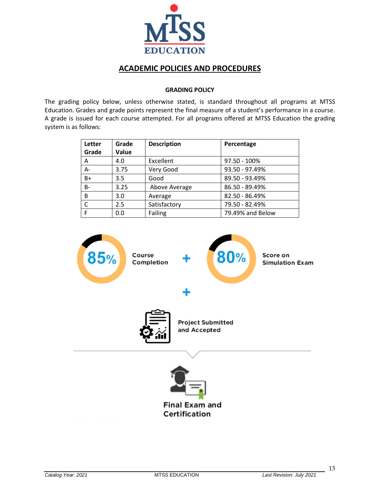

# **ACADEMIC POLICIES AND PROCEDURES**

### **GRADING POLICY**

<span id="page-13-0"></span>The grading policy below, unless otherwise stated, is standard throughout all programs at MTSS Education. Grades and grade points represent the final measure of a student's performance in a course. A grade is issued for each course attempted. For all programs offered at MTSS Education the grading system is as follows:

| Letter    | Grade | <b>Description</b> | Percentage       |
|-----------|-------|--------------------|------------------|
| Grade     | Value |                    |                  |
| Α         | 4.0   | Excellent          | 97.50 - 100%     |
| $A -$     | 3.75  | Very Good          | 93.50 - 97.49%   |
| $B+$      | 3.5   | Good               | 89.50 - 93.49%   |
| <b>B-</b> | 3.25  | Above Average      | 86.50 - 89.49%   |
| B         | 3.0   | Average            | 82.50 - 86.49%   |
| C         | 2.5   | Satisfactory       | 79.50 - 82.49%   |
| F         | 0.0   | Failing            | 79.49% and Below |

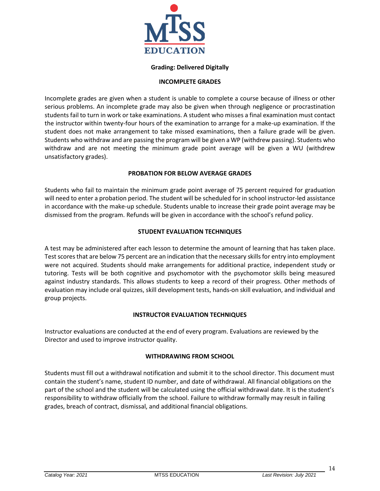

## **Grading: Delivered Digitally**

### **INCOMPLETE GRADES**

<span id="page-14-0"></span>Incomplete grades are given when a student is unable to complete a course because of illness or other serious problems. An incomplete grade may also be given when through negligence or procrastination students fail to turn in work or take examinations. A student who misses a final examination must contact the instructor within twenty-four hours of the examination to arrange for a make-up examination. If the student does not make arrangement to take missed examinations, then a failure grade will be given. Students who withdraw and are passing the program will be given a WP (withdrew passing). Students who withdraw and are not meeting the minimum grade point average will be given a WU (withdrew unsatisfactory grades).

## **PROBATION FOR BELOW AVERAGE GRADES**

<span id="page-14-1"></span>Students who fail to maintain the minimum grade point average of 75 percent required for graduation will need to enter a probation period. The student will be scheduled for in school instructor-led assistance in accordance with the make-up schedule. Students unable to increase their grade point average may be dismissed from the program. Refunds will be given in accordance with the school's refund policy.

## **STUDENT EVALUATION TECHNIQUES**

A test may be administered after each lesson to determine the amount of learning that has taken place. Test scores that are below 75 percent are an indication that the necessary skills for entry into employment were not acquired. Students should make arrangements for additional practice, independent study or tutoring. Tests will be both cognitive and psychomotor with the psychomotor skills being measured against industry standards. This allows students to keep a record of their progress. Other methods of evaluation may include oral quizzes, skill development tests, hands-on skill evaluation, and individual and group projects.

## **INSTRUCTOR EVALUATION TECHNIQUES**

<span id="page-14-2"></span>Instructor evaluations are conducted at the end of every program. Evaluations are reviewed by the Director and used to improve instructor quality.

## **WITHDRAWING FROM SCHOOL**

<span id="page-14-3"></span>Students must fill out a withdrawal notification and submit it to the school director. This document must contain the student's name, student ID number, and date of withdrawal. All financial obligations on the part of the school and the student will be calculated using the official withdrawal date. It is the student's responsibility to withdraw officially from the school. Failure to withdraw formally may result in failing grades, breach of contract, dismissal, and additional financial obligations.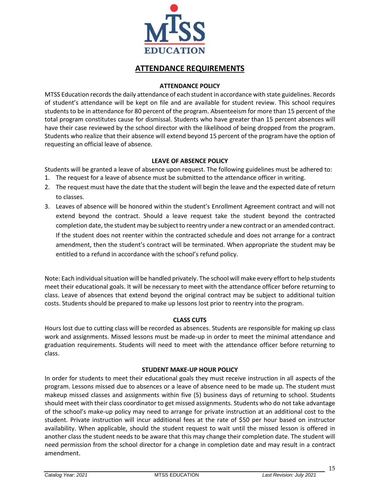

# **ATTENDANCE REQUIREMENTS**

## **ATTENDANCE POLICY**

<span id="page-15-1"></span><span id="page-15-0"></span>MTSS Education records the daily attendance of each student in accordance with state guidelines. Records of student's attendance will be kept on file and are available for student review. This school requires students to be in attendance for 80 percent of the program. Absenteeism for more than 15 percent of the total program constitutes cause for dismissal. Students who have greater than 15 percent absences will have their case reviewed by the school director with the likelihood of being dropped from the program. Students who realize that their absence will extend beyond 15 percent of the program have the option of requesting an official leave of absence.

## **LEAVE OF ABSENCE POLICY**

<span id="page-15-2"></span>Students will be granted a leave of absence upon request. The following guidelines must be adhered to:

- 1. The request for a leave of absence must be submitted to the attendance officer in writing.
- 2. The request must have the date that the student will begin the leave and the expected date of return to classes.
- 3. Leaves of absence will be honored within the student's Enrollment Agreement contract and will not extend beyond the contract. Should a leave request take the student beyond the contracted completion date, the student may be subject to reentry under a new contract or an amended contract. If the student does not reenter within the contracted schedule and does not arrange for a contract amendment, then the student's contract will be terminated. When appropriate the student may be entitled to a refund in accordance with the school's refund policy.

Note: Each individual situation will be handled privately. The school will make every effort to help students meet their educational goals. It will be necessary to meet with the attendance officer before returning to class. Leave of absences that extend beyond the original contract may be subject to additional tuition costs. Students should be prepared to make up lessons lost prior to reentry into the program.

## **CLASS CUTS**

<span id="page-15-3"></span>Hours lost due to cutting class will be recorded as absences. Students are responsible for making up class work and assignments. Missed lessons must be made-up in order to meet the minimal attendance and graduation requirements. Students will need to meet with the attendance officer before returning to class.

## **STUDENT MAKE-UP HOUR POLICY**

<span id="page-15-4"></span>In order for students to meet their educational goals they must receive instruction in all aspects of the program. Lessons missed due to absences or a leave of absence need to be made up. The student must makeup missed classes and assignments within five (5) business days of returning to school. Students should meet with their class coordinator to get missed assignments. Students who do not take advantage of the school's make-up policy may need to arrange for private instruction at an additional cost to the student. Private instruction will incur additional fees at the rate of \$50 per hour based on instructor availability. When applicable, should the student request to wait until the missed lesson is offered in another class the student needs to be aware that this may change their completion date. The student will need permission from the school director for a change in completion date and may result in a contract amendment.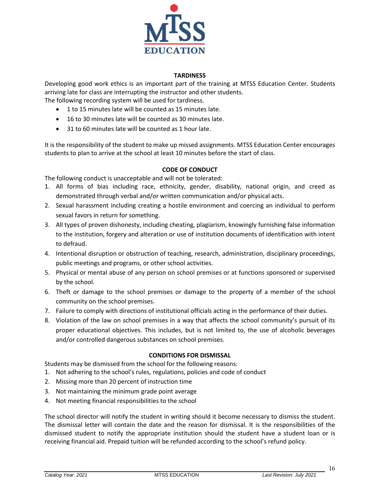

## **TARDINESS**

<span id="page-16-0"></span>Developing good work ethics is an important part of the training at MTSS Education Center. Students arriving late for class are interrupting the instructor and other students.

The following recording system will be used for tardiness.

- 1 to 15 minutes late will be counted as 15 minutes late.
- 16 to 30 minutes late will be counted as 30 minutes late.
- 31 to 60 minutes late will be counted as 1 hour late.

It is the responsibility of the student to make up missed assignments. MTSS Education Center encourages students to plan to arrive at the school at least 10 minutes before the start of class.

## **CODE OF CONDUCT**

<span id="page-16-1"></span>The following conduct is unacceptable and will not be tolerated:

- 1. All forms of bias including race, ethnicity, gender, disability, national origin, and creed as demonstrated through verbal and/or written communication and/or physical acts.
- 2. Sexual harassment including creating a hostile environment and coercing an individual to perform sexual favors in return for something.
- 3. All types of proven dishonesty, including cheating, plagiarism, knowingly furnishing false information to the institution, forgery and alteration or use of institution documents of identification with intent to defraud.
- 4. Intentional disruption or obstruction of teaching, research, administration, disciplinary proceedings, public meetings and programs, or other school activities.
- 5. Physical or mental abuse of any person on school premises or at functions sponsored or supervised by the school.
- 6. Theft or damage to the school premises or damage to the property of a member of the school community on the school premises.
- 7. Failure to comply with directions of institutional officials acting in the performance of their duties.
- 8. Violation of the law on school premises in a way that affects the school community's pursuit of its proper educational objectives. This includes, but is not limited to, the use of alcoholic beverages and/or controlled dangerous substances on school premises.

## **CONDITIONS FOR DISMISSAL**

<span id="page-16-2"></span>Students may be dismissed from the school for the following reasons:

- 1. Not adhering to the school's rules, regulations, policies and code of conduct
- 2. Missing more than 20 percent of instruction time
- 3. Not maintaining the minimum grade point average
- 4. Not meeting financial responsibilities to the school

The school director will notify the student in writing should it become necessary to dismiss the student. The dismissal letter will contain the date and the reason for dismissal. It is the responsibilities of the dismissed student to notify the appropriate institution should the student have a student loan or is receiving financial aid. Prepaid tuition will be refunded according to the school's refund policy.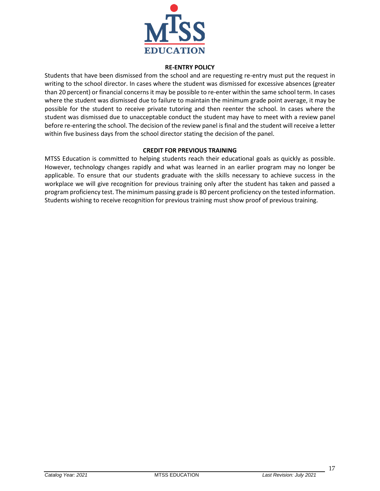

#### **RE-ENTRY POLICY**

<span id="page-17-0"></span>Students that have been dismissed from the school and are requesting re-entry must put the request in writing to the school director. In cases where the student was dismissed for excessive absences (greater than 20 percent) or financial concerns it may be possible to re-enter within the same school term. In cases where the student was dismissed due to failure to maintain the minimum grade point average, it may be possible for the student to receive private tutoring and then reenter the school. In cases where the student was dismissed due to unacceptable conduct the student may have to meet with a review panel before re-entering the school. The decision of the review panel is final and the student will receive a letter within five business days from the school director stating the decision of the panel.

## **CREDIT FOR PREVIOUS TRAINING**

<span id="page-17-1"></span>MTSS Education is committed to helping students reach their educational goals as quickly as possible. However, technology changes rapidly and what was learned in an earlier program may no longer be applicable. To ensure that our students graduate with the skills necessary to achieve success in the workplace we will give recognition for previous training only after the student has taken and passed a program proficiency test. The minimum passing grade is 80 percent proficiency on the tested information. Students wishing to receive recognition for previous training must show proof of previous training.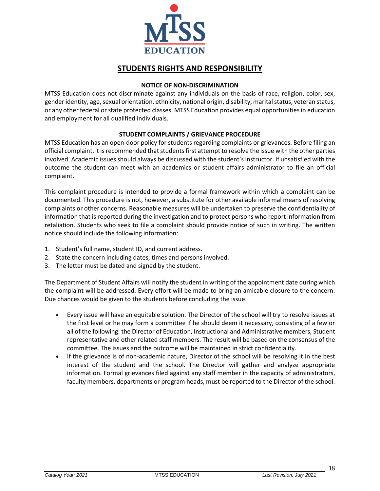

# **STUDENTS RIGHTS AND RESPONSIBILITY**

### **NOTICE OF NON-DISCRIMINATION**

<span id="page-18-1"></span><span id="page-18-0"></span>MTSS Education does not discriminate against any individuals on the basis of race, religion, color, sex, gender identity, age, sexual orientation, ethnicity, national origin, disability, marital status, veteran status, or any other federal or state protected classes. MTSS Education provides equal opportunities in education and employment for all qualified individuals.

## **STUDENT COMPLAINTS / GRIEVANCE PROCEDURE**

<span id="page-18-2"></span>MTSS Education has an open-door policy for students regarding complaints or grievances. Before filing an official complaint, it is recommended that students first attempt to resolve the issue with the other parties involved. Academic issues should always be discussed with the student's instructor. If unsatisfied with the outcome the student can meet with an academics or student affairs administrator to file an official complaint.

This complaint procedure is intended to provide a formal framework within which a complaint can be documented. This procedure is not, however, a substitute for other available informal means of resolving complaints or other concerns. Reasonable measures will be undertaken to preserve the confidentiality of information that is reported during the investigation and to protect persons who report information from retaliation. Students who seek to file a complaint should provide notice of such in writing. The written notice should include the following information:

- 1. Student's full name, student ID, and current address.
- 2. State the concern including dates, times and persons involved.
- 3. The letter must be dated and signed by the student.

The Department of Student Affairs will notify the student in writing of the appointment date during which the complaint will be addressed. Every effort will be made to bring an amicable closure to the concern. Due chances would be given to the students before concluding the issue.

- Every issue will have an equitable solution. The Director of the school will try to resolve issues at the first level or he may form a committee if he should deem it necessary, consisting of a few or all of the following: the Director of Education, Instructional and Administrative members, Student representative and other related staff members. The result will be based on the consensus of the committee. The issues and the outcome will be maintained in strict confidentiality.
- If the grievance is of non-academic nature, Director of the school will be resolving it in the best interest of the student and the school. The Director will gather and analyze appropriate information. Formal grievances filed against any staff member in the capacity of administrators, faculty members, departments or program heads, must be reported to the Director of the school.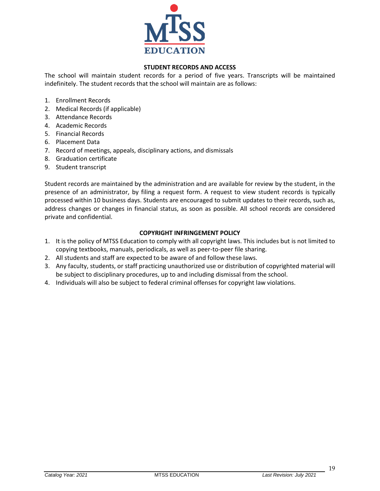

## **STUDENT RECORDS AND ACCESS**

<span id="page-19-0"></span>The school will maintain student records for a period of five years. Transcripts will be maintained indefinitely. The student records that the school will maintain are as follows:

- 1. Enrollment Records
- 2. Medical Records (if applicable)
- 3. Attendance Records
- 4. Academic Records
- 5. Financial Records
- 6. Placement Data
- 7. Record of meetings, appeals, disciplinary actions, and dismissals
- 8. Graduation certificate
- 9. Student transcript

Student records are maintained by the administration and are available for review by the student, in the presence of an administrator, by filing a request form. A request to view student records is typically processed within 10 business days. Students are encouraged to submit updates to their records, such as, address changes or changes in financial status, as soon as possible. All school records are considered private and confidential.

## **COPYRIGHT INFRINGEMENT POLICY**

- <span id="page-19-1"></span>1. It is the policy of MTSS Education to comply with all copyright laws. This includes but is not limited to copying textbooks, manuals, periodicals, as well as peer-to-peer file sharing.
- 2. All students and staff are expected to be aware of and follow these laws.
- 3. Any faculty, students, or staff practicing unauthorized use or distribution of copyrighted material will be subject to disciplinary procedures, up to and including dismissal from the school.
- 4. Individuals will also be subject to federal criminal offenses for copyright law violations.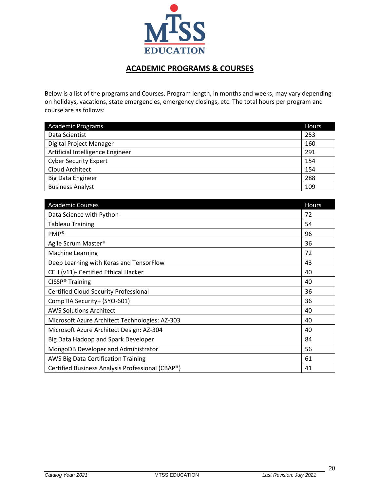

# **ACADEMIC PROGRAMS & COURSES**

<span id="page-20-0"></span>Below is a list of the programs and Courses. Program length, in months and weeks, may vary depending on holidays, vacations, state emergencies, emergency closings, etc. The total hours per program and course are as follows:

| <b>Academic Programs</b>         | <b>Hours</b> |
|----------------------------------|--------------|
| Data Scientist                   | 253          |
| Digital Project Manager          | 160          |
| Artificial Intelligence Engineer | 291          |
| <b>Cyber Security Expert</b>     | 154          |
| Cloud Architect                  | 154          |
| <b>Big Data Engineer</b>         | 288          |
| <b>Business Analyst</b>          | 109          |

| <b>Academic Courses</b>                          | Hours |
|--------------------------------------------------|-------|
| Data Science with Python                         | 72    |
| <b>Tableau Training</b>                          | 54    |
| $PMP^*$                                          | 96    |
| Agile Scrum Master <sup>®</sup>                  | 36    |
| Machine Learning                                 | 72    |
| Deep Learning with Keras and TensorFlow          | 43    |
| CEH (v11)- Certified Ethical Hacker              | 40    |
| CISSP <sup>®</sup> Training                      | 40    |
| <b>Certified Cloud Security Professional</b>     | 36    |
| CompTIA Security+ (SYO-601)                      | 36    |
| <b>AWS Solutions Architect</b>                   | 40    |
| Microsoft Azure Architect Technologies: AZ-303   | 40    |
| Microsoft Azure Architect Design: AZ-304         | 40    |
| Big Data Hadoop and Spark Developer              | 84    |
| MongoDB Developer and Administrator              | 56    |
| AWS Big Data Certification Training              | 61    |
| Certified Business Analysis Professional (CBAP®) | 41    |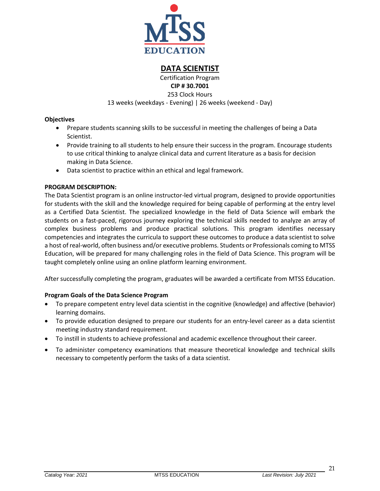

**DATA SCIENTIST**

Certification Program **CIP # 30.7001**

253 Clock Hours

13 weeks (weekdays - Evening) | 26 weeks (weekend - Day)

## <span id="page-21-0"></span>**Objectives**

- Prepare students scanning skills to be successful in meeting the challenges of being a Data Scientist.
- Provide training to all students to help ensure their success in the program. Encourage students to use critical thinking to analyze clinical data and current literature as a basis for decision making in Data Science.
- Data scientist to practice within an ethical and legal framework.

## **PROGRAM DESCRIPTION:**

The Data Scientist program is an online instructor-led virtual program, designed to provide opportunities for students with the skill and the knowledge required for being capable of performing at the entry level as a Certified Data Scientist. The specialized knowledge in the field of Data Science will embark the students on a fast-paced, rigorous journey exploring the technical skills needed to analyze an array of complex business problems and produce practical solutions. This program identifies necessary competencies and integrates the curricula to support these outcomes to produce a data scientist to solve a host of real-world, often business and/or executive problems. Students or Professionals coming to MTSS Education, will be prepared for many challenging roles in the field of Data Science. This program will be taught completely online using an online platform learning environment.

After successfully completing the program, graduates will be awarded a certificate from MTSS Education.

## **Program Goals of the Data Science Program**

- To prepare competent entry level data scientist in the cognitive (knowledge) and affective (behavior) learning domains.
- To provide education designed to prepare our students for an entry-level career as a data scientist meeting industry standard requirement.
- To instill in students to achieve professional and academic excellence throughout their career.
- To administer competency examinations that measure theoretical knowledge and technical skills necessary to competently perform the tasks of a data scientist.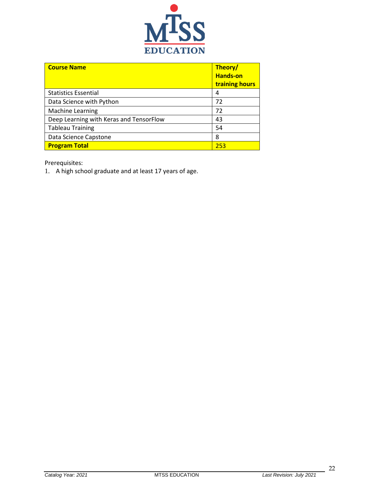

| <b>Course Name</b>                      | Theory/<br><b>Hands-on</b><br>training hours |
|-----------------------------------------|----------------------------------------------|
| <b>Statistics Essential</b>             | 4                                            |
| Data Science with Python                | 72                                           |
| Machine Learning                        | 72                                           |
| Deep Learning with Keras and TensorFlow | 43                                           |
| <b>Tableau Training</b>                 | 54                                           |
| Data Science Capstone                   | 8                                            |
| <b>Program Total</b>                    | 253                                          |

Prerequisites:

1. A high school graduate and at least 17 years of age.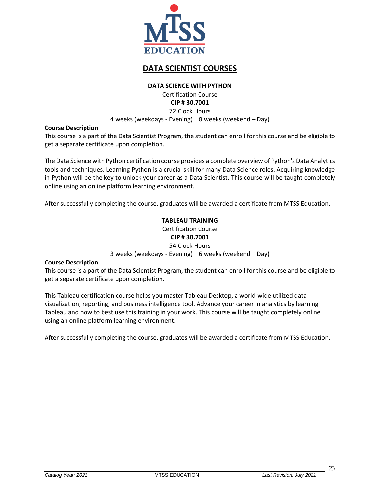

# **DATA SCIENTIST COURSES**

#### **DATA SCIENCE WITH PYTHON**

Certification Course **CIP # 30.7001** 72 Clock Hours

4 weeks (weekdays - Evening) | 8 weeks (weekend – Day)

### <span id="page-23-0"></span>**Course Description**

This course is a part of the Data Scientist Program, the student can enroll for this course and be eligible to get a separate certificate upon completion.

The Data Science with Python certification course provides a complete overview of Python's Data Analytics tools and techniques. Learning Python is a crucial skill for many Data Science roles. Acquiring knowledge in Python will be the key to unlock your career as a Data Scientist. This course will be taught completely online using an online platform learning environment.

<span id="page-23-1"></span>After successfully completing the course, graduates will be awarded a certificate from MTSS Education.

## **TABLEAU TRAINING**

Certification Course **CIP # 30.7001** 54 Clock Hours 3 weeks (weekdays - Evening) | 6 weeks (weekend – Day)

#### **Course Description**

This course is a part of the Data Scientist Program, the student can enroll for this course and be eligible to get a separate certificate upon completion.

This Tableau certification course helps you master Tableau Desktop, a world-wide utilized data visualization, reporting, and business intelligence tool. Advance your career in analytics by learning Tableau and how to best use this training in your work. This course will be taught completely online using an online platform learning environment.

After successfully completing the course, graduates will be awarded a certificate from MTSS Education.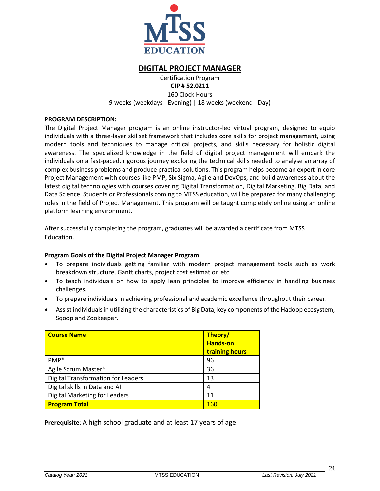

## **DIGITAL PROJECT MANAGER**

Certification Program

**CIP # 52.0211**

160 Clock Hours 9 weeks (weekdays - Evening) | 18 weeks (weekend - Day)

### <span id="page-24-0"></span>**PROGRAM DESCRIPTION:**

The Digital Project Manager program is an online instructor-led virtual program, designed to equip individuals with a three-layer skillset framework that includes core skills for project management, using modern tools and techniques to manage critical projects, and skills necessary for holistic digital awareness. The specialized knowledge in the field of digital project management will embark the individuals on a fast-paced, rigorous journey exploring the technical skills needed to analyse an array of complex business problems and produce practical solutions. This program helps become an expert in core Project Management with courses like PMP, Six Sigma, Agile and DevOps, and build awareness about the latest digital technologies with courses covering Digital Transformation, Digital Marketing, Big Data, and Data Science. Students or Professionals coming to MTSS education, will be prepared for many challenging roles in the field of Project Management. This program will be taught completely online using an online platform learning environment.

After successfully completing the program, graduates will be awarded a certificate from MTSS Education.

## **Program Goals of the Digital Project Manager Program**

- To prepare individuals getting familiar with modern project management tools such as work breakdown structure, Gantt charts, project cost estimation etc.
- To teach individuals on how to apply lean principles to improve efficiency in handling business challenges.
- To prepare individuals in achieving professional and academic excellence throughout their career.
- Assist individuals in utilizing the characteristics of Big Data, key components of the Hadoop ecosystem, Sqoop and Zookeeper.

| <b>Course Name</b>                        | Theory/<br><b>Hands-on</b><br>training hours |
|-------------------------------------------|----------------------------------------------|
| $PMP^*$                                   | 96                                           |
| Agile Scrum Master <sup>®</sup>           | 36                                           |
| <b>Digital Transformation for Leaders</b> | 13                                           |
| Digital skills in Data and AI             | 4                                            |
| <b>Digital Marketing for Leaders</b>      | 11                                           |
| <b>Program Total</b>                      | <b>160</b>                                   |

**Prerequisite**: A high school graduate and at least 17 years of age.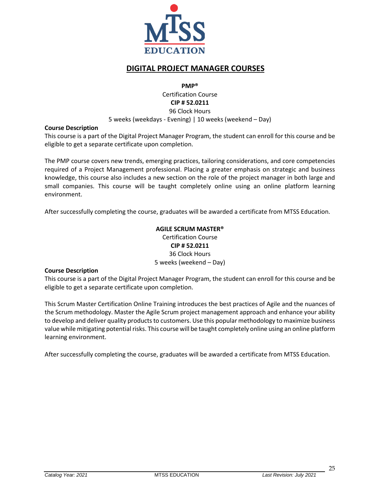

# **DIGITAL PROJECT MANAGER COURSES**

**PMP®**

Certification Course **CIP # 52.0211** 96 Clock Hours

5 weeks (weekdays - Evening) | 10 weeks (weekend – Day)

### <span id="page-25-0"></span>**Course Description**

This course is a part of the Digital Project Manager Program, the student can enroll for this course and be eligible to get a separate certificate upon completion.

The PMP course covers new trends, emerging practices, tailoring considerations, and core competencies required of a Project Management professional. Placing a greater emphasis on strategic and business knowledge, this course also includes a new section on the role of the project manager in both large and small companies. This course will be taught completely online using an online platform learning environment.

<span id="page-25-1"></span>After successfully completing the course, graduates will be awarded a certificate from MTSS Education.

## **AGILE SCRUM MASTER®**

Certification Course **CIP # 52.0211** 36 Clock Hours 5 weeks (weekend – Day)

#### **Course Description**

This course is a part of the Digital Project Manager Program, the student can enroll for this course and be eligible to get a separate certificate upon completion.

This Scrum Master Certification Online Training introduces the best practices of Agile and the nuances of the Scrum methodology. Master the Agile Scrum project management approach and enhance your ability to develop and deliver quality products to customers. Use this popular methodology to maximize business value while mitigating potential risks. This course will be taught completely online using an online platform learning environment.

After successfully completing the course, graduates will be awarded a certificate from MTSS Education.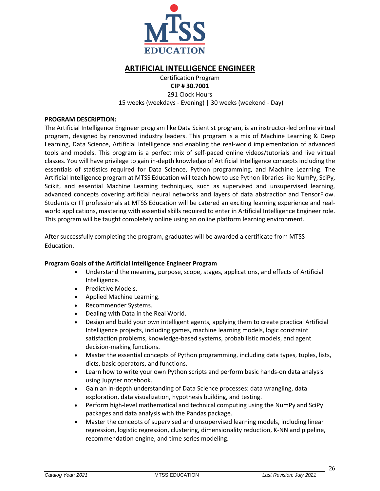

# **ARTIFICIAL INTELLIGENCE ENGINEER**

#### Certification Program **CIP # 30.7001**

291 Clock Hours 15 weeks (weekdays - Evening) | 30 weeks (weekend - Day)

### <span id="page-26-0"></span>**PROGRAM DESCRIPTION:**

The Artificial Intelligence Engineer program like Data Scientist program, is an instructor-led online virtual program, designed by renowned industry leaders. This program is a mix of Machine Learning & Deep Learning, Data Science, Artificial Intelligence and enabling the real-world implementation of advanced tools and models. This program is a perfect mix of self-paced online videos/tutorials and live virtual classes. You will have privilege to gain in-depth knowledge of Artificial Intelligence concepts including the essentials of statistics required for Data Science, Python programming, and Machine Learning. The Artificial Intelligence program at MTSS Education will teach how to use Python libraries like NumPy, SciPy, Scikit, and essential Machine Learning techniques, such as supervised and unsupervised learning, advanced concepts covering artificial neural networks and layers of data abstraction and TensorFlow. Students or IT professionals at MTSS Education will be catered an exciting learning experience and realworld applications, mastering with essential skills required to enter in Artificial Intelligence Engineer role. This program will be taught completely online using an online platform learning environment.

After successfully completing the program, graduates will be awarded a certificate from MTSS Education.

## **Program Goals of the Artificial Intelligence Engineer Program**

- Understand the meaning, purpose, scope, stages, applications, and effects of Artificial Intelligence.
- Predictive Models.
- Applied Machine Learning.
- Recommender Systems.
- Dealing with Data in the Real World.
- Design and build your own intelligent agents, applying them to create practical Artificial Intelligence projects, including games, machine learning models, logic constraint satisfaction problems, knowledge-based systems, probabilistic models, and agent decision-making functions.
- Master the essential concepts of Python programming, including data types, tuples, lists, dicts, basic operators, and functions.
- Learn how to write your own Python scripts and perform basic hands-on data analysis using Jupyter notebook.
- Gain an in-depth understanding of Data Science processes: data wrangling, data exploration, data visualization, hypothesis building, and testing.
- Perform high-level mathematical and technical computing using the NumPy and SciPy packages and data analysis with the Pandas package.
- Master the concepts of supervised and unsupervised learning models, including linear regression, logistic regression, clustering, dimensionality reduction, K-NN and pipeline, recommendation engine, and time series modeling.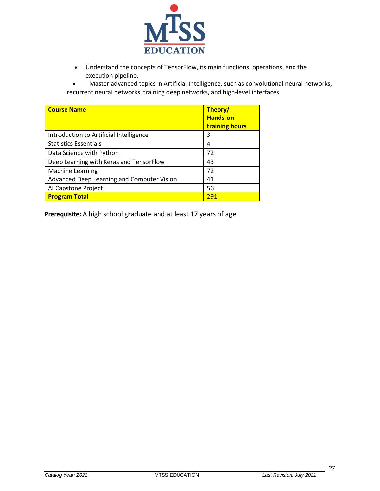

• Understand the concepts of TensorFlow, its main functions, operations, and the execution pipeline.

• Master advanced topics in Artificial Intelligence, such as convolutional neural networks, recurrent neural networks, training deep networks, and high-level interfaces.

| <b>Course Name</b>                         | Theory/<br><b>Hands-on</b><br>training hours |
|--------------------------------------------|----------------------------------------------|
| Introduction to Artificial Intelligence    | 3                                            |
| <b>Statistics Essentials</b>               | 4                                            |
| Data Science with Python                   | 72                                           |
| Deep Learning with Keras and TensorFlow    | 43                                           |
| <b>Machine Learning</b>                    | 72                                           |
| Advanced Deep Learning and Computer Vision | 41                                           |
| Al Capstone Project                        | 56                                           |
| <b>Program Total</b>                       | 291                                          |

**Prerequisite:** A high school graduate and at least 17 years of age.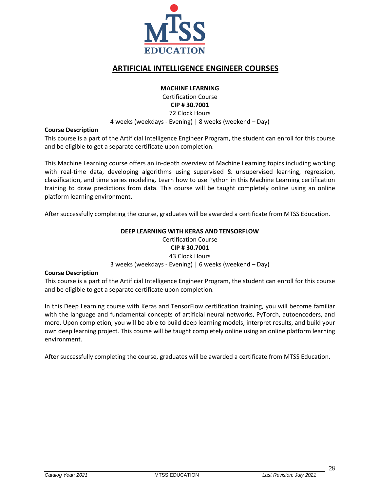

# **ARTIFICIAL INTELLIGENCE ENGINEER COURSES**

### **MACHINE LEARNING**

#### Certification Course **CIP # 30.7001** 72 Clock Hours

4 weeks (weekdays - Evening) | 8 weeks (weekend – Day)

### <span id="page-28-0"></span>**Course Description**

This course is a part of the Artificial Intelligence Engineer Program, the student can enroll for this course and be eligible to get a separate certificate upon completion.

This Machine Learning course offers an in-depth overview of Machine Learning topics including working with real-time data, developing algorithms using supervised & unsupervised learning, regression, classification, and time series modeling. Learn how to use Python in this Machine Learning certification training to draw predictions from data. This course will be taught completely online using an online platform learning environment.

<span id="page-28-1"></span>After successfully completing the course, graduates will be awarded a certificate from MTSS Education.

## **DEEP LEARNING WITH KERAS AND TENSORFLOW**

Certification Course **CIP # 30.7001** 43 Clock Hours

3 weeks (weekdays - Evening) | 6 weeks (weekend – Day)

#### **Course Description**

This course is a part of the Artificial Intelligence Engineer Program, the student can enroll for this course and be eligible to get a separate certificate upon completion.

In this Deep Learning course with Keras and TensorFlow certification training, you will become familiar with the language and fundamental concepts of artificial neural networks, PyTorch, autoencoders, and more. Upon completion, you will be able to build deep learning models, interpret results, and build your own deep learning project. This course will be taught completely online using an online platform learning environment.

After successfully completing the course, graduates will be awarded a certificate from MTSS Education.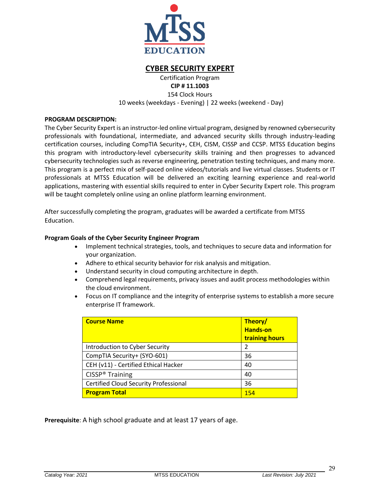

## **CYBER SECURITY EXPERT**

Certification Program

**CIP # 11.1003** 154 Clock Hours

10 weeks (weekdays - Evening) | 22 weeks (weekend - Day)

## <span id="page-29-0"></span>**PROGRAM DESCRIPTION:**

The Cyber Security Expert is an instructor-led online virtual program, designed by renowned cybersecurity professionals with foundational, intermediate, and advanced security skills through industry-leading certification courses, including CompTIA Security+, CEH, CISM, CISSP and CCSP. MTSS Education begins this program with introductory-level cybersecurity skills training and then progresses to advanced cybersecurity technologies such as reverse engineering, penetration testing techniques, and many more. This program is a perfect mix of self-paced online videos/tutorials and live virtual classes. Students or IT professionals at MTSS Education will be delivered an exciting learning experience and real-world applications, mastering with essential skills required to enter in Cyber Security Expert role. This program will be taught completely online using an online platform learning environment.

After successfully completing the program, graduates will be awarded a certificate from MTSS Education.

## **Program Goals of the Cyber Security Engineer Program**

- Implement technical strategies, tools, and techniques to secure data and information for your organization.
- Adhere to ethical security behavior for risk analysis and mitigation.
- Understand security in cloud computing architecture in depth.
- Comprehend legal requirements, privacy issues and audit process methodologies within the cloud environment.
- Focus on IT compliance and the integrity of enterprise systems to establish a more secure enterprise IT framework.

| <b>Course Name</b>                           | Theory/<br><b>Hands-on</b><br>training hours |
|----------------------------------------------|----------------------------------------------|
| Introduction to Cyber Security               | $\mathcal{P}$                                |
| CompTIA Security+ (SYO-601)                  | 36                                           |
| CEH (v11) - Certified Ethical Hacker         | 40                                           |
| CISSP <sup>®</sup> Training                  | 40                                           |
| <b>Certified Cloud Security Professional</b> | 36                                           |
| <b>Program Total</b>                         | 154                                          |

**Prerequisite**: A high school graduate and at least 17 years of age.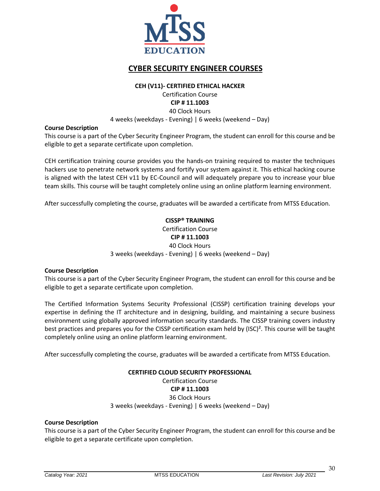

# **CYBER SECURITY ENGINEER COURSES**

#### **CEH (V11)- CERTIFIED ETHICAL HACKER**

Certification Course **CIP # 11.1003** 40 Clock Hours

4 weeks (weekdays - Evening) | 6 weeks (weekend – Day)

## <span id="page-30-0"></span>**Course Description**

This course is a part of the Cyber Security Engineer Program, the student can enroll for this course and be eligible to get a separate certificate upon completion.

CEH certification training course provides you the hands-on training required to master the techniques hackers use to penetrate network systems and fortify your system against it. This ethical hacking course is aligned with the latest CEH v11 by EC-Council and will adequately prepare you to increase your blue team skills. This course will be taught completely online using an online platform learning environment.

<span id="page-30-1"></span>After successfully completing the course, graduates will be awarded a certificate from MTSS Education.

## **CISSP® TRAINING** Certification Course **CIP # 11.1003** 40 Clock Hours 3 weeks (weekdays - Evening) | 6 weeks (weekend – Day)

#### **Course Description**

This course is a part of the Cyber Security Engineer Program, the student can enroll for this course and be eligible to get a separate certificate upon completion.

The Certified Information Systems Security Professional (CISSP) certification training develops your expertise in defining the IT architecture and in designing, building, and maintaining a secure business environment using globally approved information security standards. The CISSP training covers industry best practices and prepares you for the CISSP certification exam held by (ISC)<sup>2</sup>. This course will be taught completely online using an online platform learning environment.

<span id="page-30-2"></span>After successfully completing the course, graduates will be awarded a certificate from MTSS Education.

# **CERTIFIED CLOUD SECURITY PROFESSIONAL**

## Certification Course

**CIP # 11.1003**

36 Clock Hours

3 weeks (weekdays - Evening) | 6 weeks (weekend – Day)

#### **Course Description**

This course is a part of the Cyber Security Engineer Program, the student can enroll for this course and be eligible to get a separate certificate upon completion.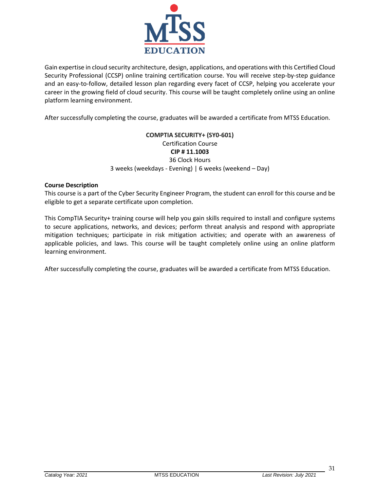

Gain expertise in cloud security architecture, design, applications, and operations with this Certified Cloud Security Professional (CCSP) online training certification course. You will receive step-by-step guidance and an easy-to-follow, detailed lesson plan regarding every facet of CCSP, helping you accelerate your career in the growing field of cloud security. This course will be taught completely online using an online platform learning environment.

<span id="page-31-0"></span>After successfully completing the course, graduates will be awarded a certificate from MTSS Education.

## **COMPTIA SECURITY+ (SY0-601)** Certification Course **CIP # 11.1003** 36 Clock Hours 3 weeks (weekdays - Evening) | 6 weeks (weekend – Day)

### **Course Description**

This course is a part of the Cyber Security Engineer Program, the student can enroll for this course and be eligible to get a separate certificate upon completion.

This CompTIA Security+ training course will help you gain skills required to install and configure systems to secure applications, networks, and devices; perform threat analysis and respond with appropriate mitigation techniques; participate in risk mitigation activities; and operate with an awareness of applicable policies, and laws. This course will be taught completely online using an online platform learning environment.

After successfully completing the course, graduates will be awarded a certificate from MTSS Education.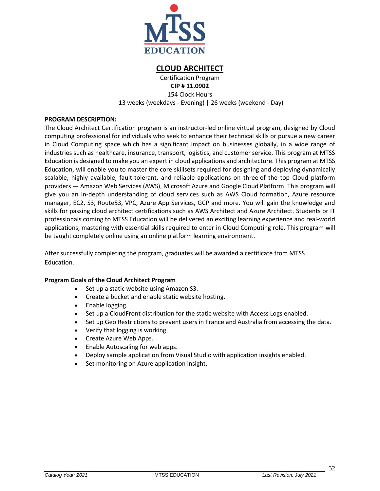

## **CLOUD ARCHITECT**

Certification Program

**CIP # 11.0902** 154 Clock Hours 13 weeks (weekdays - Evening) | 26 weeks (weekend - Day)

## <span id="page-32-0"></span>**PROGRAM DESCRIPTION:**

The Cloud Architect Certification program is an instructor-led online virtual program, designed by Cloud computing professional for individuals who seek to enhance their technical skills or pursue a new career in Cloud Computing space which has a significant impact on businesses globally, in a wide range of industries such as healthcare, insurance, transport, logistics, and customer service. This program at MTSS Education is designed to make you an expert in cloud applications and architecture. This program at MTSS Education, will enable you to master the core skillsets required for designing and deploying dynamically scalable, highly available, fault-tolerant, and reliable applications on three of the top Cloud platform providers — Amazon Web Services (AWS), Microsoft Azure and Google Cloud Platform. This program will give you an in-depth understanding of cloud services such as AWS Cloud formation, Azure resource manager, EC2, S3, Route53, VPC, Azure App Services, GCP and more. You will gain the knowledge and skills for passing cloud architect certifications such as AWS Architect and Azure Architect. Students or IT professionals coming to MTSS Education will be delivered an exciting learning experience and real-world applications, mastering with essential skills required to enter in Cloud Computing role. This program will be taught completely online using an online platform learning environment.

After successfully completing the program, graduates will be awarded a certificate from MTSS Education.

## **Program Goals of the Cloud Architect Program**

- Set up a static website using Amazon S3.
- Create a bucket and enable static website hosting.
- Enable logging.
- Set up a CloudFront distribution for the static website with Access Logs enabled.
- Set up Geo Restrictions to prevent users in France and Australia from accessing the data.
- Verify that logging is working.
- Create Azure Web Apps.
- Enable Autoscaling for web apps.
- Deploy sample application from Visual Studio with application insights enabled.
- Set monitoring on Azure application insight.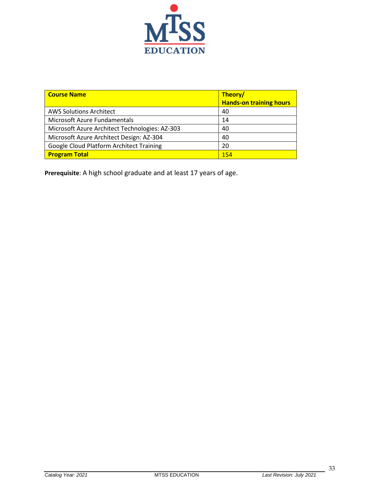

| <b>Course Name</b>                             | Theory/<br><b>Hands-on training hours</b> |
|------------------------------------------------|-------------------------------------------|
| <b>AWS Solutions Architect</b>                 | 40                                        |
| Microsoft Azure Fundamentals                   | 14                                        |
| Microsoft Azure Architect Technologies: AZ-303 | 40                                        |
| Microsoft Azure Architect Design: AZ-304       | 40                                        |
| Google Cloud Platform Architect Training       | 20                                        |
| <b>Program Total</b>                           | 154                                       |

**Prerequisite**: A high school graduate and at least 17 years of age.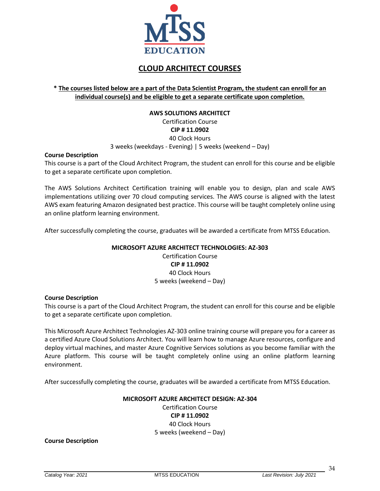

# **CLOUD ARCHITECT COURSES**

## <span id="page-34-0"></span>**\* The courses listed below are a part of the Data Scientist Program, the student can enroll for an individual course(s) and be eligible to get a separate certificate upon completion.**

### **AWS SOLUTIONS ARCHITECT** Certification Course **CIP # 11.0902**

40 Clock Hours

3 weeks (weekdays - Evening) | 5 weeks (weekend – Day)

### **Course Description**

This course is a part of the Cloud Architect Program, the student can enroll for this course and be eligible to get a separate certificate upon completion.

The AWS Solutions Architect Certification training will enable you to design, plan and scale AWS implementations utilizing over 70 cloud computing services. The AWS course is aligned with the latest AWS exam featuring Amazon designated best practice. This course will be taught completely online using an online platform learning environment.

<span id="page-34-1"></span>After successfully completing the course, graduates will be awarded a certificate from MTSS Education.

#### **MICROSOFT AZURE ARCHITECT TECHNOLOGIES: AZ-303**

Certification Course **CIP # 11.0902** 40 Clock Hours 5 weeks (weekend – Day)

#### **Course Description**

This course is a part of the Cloud Architect Program, the student can enroll for this course and be eligible to get a separate certificate upon completion.

This Microsoft Azure Architect Technologies AZ-303 online training course will prepare you for a career as a certified Azure Cloud Solutions Architect. You will learn how to manage Azure resources, configure and deploy virtual machines, and master Azure Cognitive Services solutions as you become familiar with the Azure platform. This course will be taught completely online using an online platform learning environment.

<span id="page-34-2"></span>After successfully completing the course, graduates will be awarded a certificate from MTSS Education.

## **MICROSOFT AZURE ARCHITECT DESIGN: AZ-304**

Certification Course **CIP # 11.0902** 40 Clock Hours 5 weeks (weekend – Day)

**Course Description**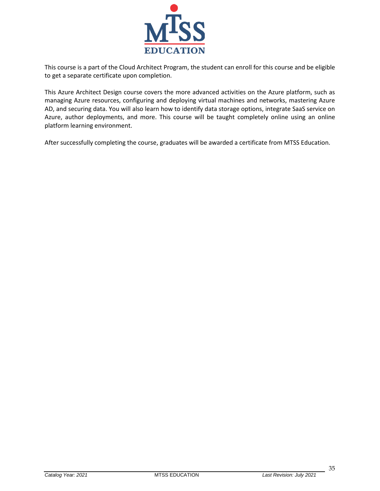

This course is a part of the Cloud Architect Program, the student can enroll for this course and be eligible to get a separate certificate upon completion.

This Azure Architect Design course covers the more advanced activities on the Azure platform, such as managing Azure resources, configuring and deploying virtual machines and networks, mastering Azure AD, and securing data. You will also learn how to identify data storage options, integrate SaaS service on Azure, author deployments, and more. This course will be taught completely online using an online platform learning environment.

After successfully completing the course, graduates will be awarded a certificate from MTSS Education.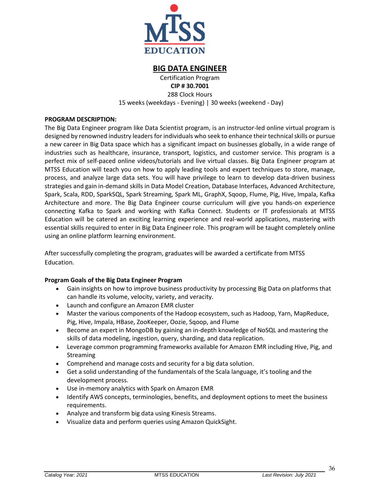

## **BIG DATA ENGINEER**

Certification Program

**CIP # 30.7001** 288 Clock Hours

15 weeks (weekdays - Evening) | 30 weeks (weekend - Day)

## <span id="page-36-0"></span>**PROGRAM DESCRIPTION:**

The Big Data Engineer program like Data Scientist program, is an instructor-led online virtual program is designed by renowned industry leaders for individuals who seek to enhance their technical skills or pursue a new career in Big Data space which has a significant impact on businesses globally, in a wide range of industries such as healthcare, insurance, transport, logistics, and customer service. This program is a perfect mix of self-paced online videos/tutorials and live virtual classes. Big Data Engineer program at MTSS Education will teach you on how to apply leading tools and expert techniques to store, manage, process, and analyze large data sets. You will have privilege to learn to develop data-driven business strategies and gain in-demand skills in Data Model Creation, Database Interfaces, Advanced Architecture, Spark, Scala, RDD, SparkSQL, Spark Streaming, Spark ML, GraphX, Sqoop, Flume, Pig, Hive, Impala, Kafka Architecture and more. The Big Data Engineer course curriculum will give you hands-on experience connecting Kafka to Spark and working with Kafka Connect. Students or IT professionals at MTSS Education will be catered an exciting learning experience and real-world applications, mastering with essential skills required to enter in Big Data Engineer role. This program will be taught completely online using an online platform learning environment.

After successfully completing the program, graduates will be awarded a certificate from MTSS Education.

## **Program Goals of the Big Data Engineer Program**

- Gain insights on how to improve business productivity by processing Big Data on platforms that can handle its volume, velocity, variety, and veracity.
- Launch and configure an Amazon EMR cluster
- Master the various components of the Hadoop ecosystem, such as Hadoop, Yarn, MapReduce, Pig, Hive, Impala, HBase, ZooKeeper, Oozie, Sqoop, and Flume
- Become an expert in MongoDB by gaining an in-depth knowledge of NoSQL and mastering the skills of data modeling, ingestion, query, sharding, and data replication.
- Leverage common programming frameworks available for Amazon EMR including Hive, Pig, and Streaming
- Comprehend and manage costs and security for a big data solution.
- Get a solid understanding of the fundamentals of the Scala language, it's tooling and the development process.
- Use in-memory analytics with Spark on Amazon EMR
- Identify AWS concepts, terminologies, benefits, and deployment options to meet the business requirements.
- Analyze and transform big data using Kinesis Streams.
- Visualize data and perform queries using Amazon QuickSight.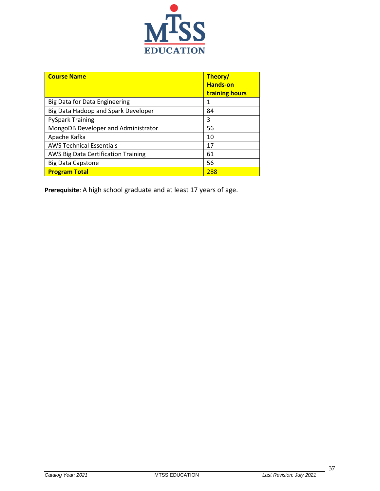

| <b>Course Name</b>                         | Theory/<br><b>Hands-on</b><br>training hours |
|--------------------------------------------|----------------------------------------------|
| Big Data for Data Engineering              | 1                                            |
| Big Data Hadoop and Spark Developer        | 84                                           |
| <b>PySpark Training</b>                    | 3                                            |
| MongoDB Developer and Administrator        | 56                                           |
| Apache Kafka                               | 10                                           |
| <b>AWS Technical Essentials</b>            | 17                                           |
| <b>AWS Big Data Certification Training</b> | 61                                           |
| <b>Big Data Capstone</b>                   | 56                                           |
| <b>Program Total</b>                       | 288                                          |

**Prerequisite**: A high school graduate and at least 17 years of age.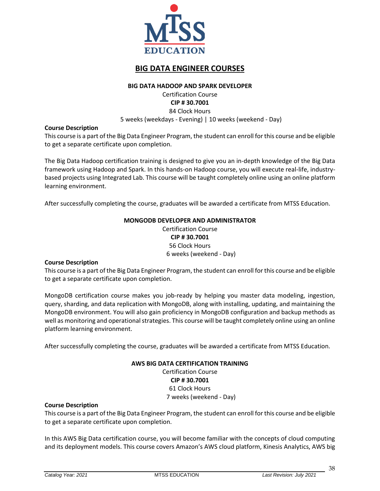

# **BIG DATA ENGINEER COURSES**

### **BIG DATA HADOOP AND SPARK DEVELOPER**

Certification Course **CIP # 30.7001** 84 Clock Hours

5 weeks (weekdays - Evening) | 10 weeks (weekend - Day)

### <span id="page-38-0"></span>**Course Description**

This course is a part of the Big Data Engineer Program, the student can enroll for this course and be eligible to get a separate certificate upon completion.

The Big Data Hadoop certification training is designed to give you an in-depth knowledge of the Big Data framework using Hadoop and Spark. In this hands-on Hadoop course, you will execute real-life, industrybased projects using Integrated Lab. This course will be taught completely online using an online platform learning environment.

<span id="page-38-1"></span>After successfully completing the course, graduates will be awarded a certificate from MTSS Education.

### **MONGODB DEVELOPER AND ADMINISTRATOR**

Certification Course **CIP # 30.7001** 56 Clock Hours 6 weeks (weekend - Day)

#### **Course Description**

This course is a part of the Big Data Engineer Program, the student can enroll for this course and be eligible to get a separate certificate upon completion.

MongoDB certification course makes you job-ready by helping you master data modeling, ingestion, query, sharding, and data replication with MongoDB, along with installing, updating, and maintaining the MongoDB environment. You will also gain proficiency in MongoDB configuration and backup methods as well as monitoring and operational strategies. This course will be taught completely online using an online platform learning environment.

<span id="page-38-2"></span>After successfully completing the course, graduates will be awarded a certificate from MTSS Education.

#### **AWS BIG DATA CERTIFICATION TRAINING**

Certification Course **CIP # 30.7001** 61 Clock Hours 7 weeks (weekend - Day)

### **Course Description**

This course is a part of the Big Data Engineer Program, the student can enroll for this course and be eligible to get a separate certificate upon completion.

In this AWS Big Data certification course, you will become familiar with the concepts of cloud computing and its deployment models. This course covers Amazon's AWS cloud platform, Kinesis Analytics, AWS big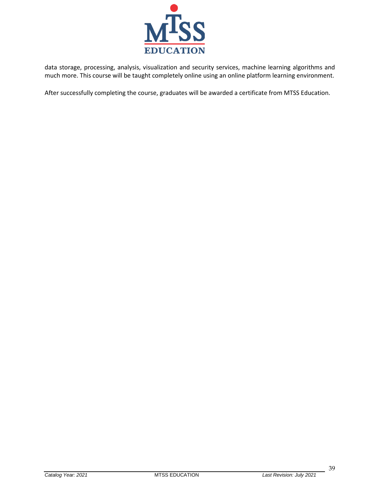

data storage, processing, analysis, visualization and security services, machine learning algorithms and much more. This course will be taught completely online using an online platform learning environment.

After successfully completing the course, graduates will be awarded a certificate from MTSS Education.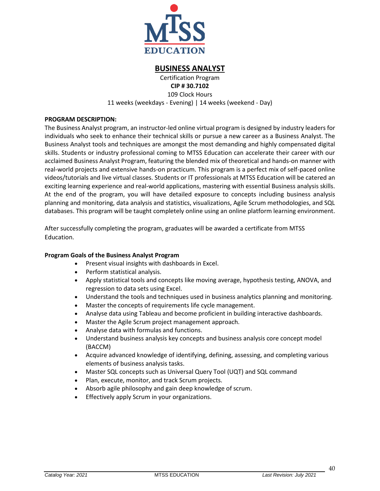

## **BUSINESS ANALYST**

Certification Program

**CIP # 30.7102**

109 Clock Hours 11 weeks (weekdays - Evening) | 14 weeks (weekend - Day)

## <span id="page-40-0"></span>**PROGRAM DESCRIPTION:**

The Business Analyst program, an instructor-led online virtual program is designed by industry leaders for individuals who seek to enhance their technical skills or pursue a new career as a Business Analyst. The Business Analyst tools and techniques are amongst the most demanding and highly compensated digital skills. Students or industry professional coming to MTSS Education can accelerate their career with our acclaimed Business Analyst Program, featuring the blended mix of theoretical and hands-on manner with real-world projects and extensive hands-on practicum. This program is a perfect mix of self-paced online videos/tutorials and live virtual classes. Students or IT professionals at MTSS Education will be catered an exciting learning experience and real-world applications, mastering with essential Business analysis skills. At the end of the program, you will have detailed exposure to concepts including business analysis planning and monitoring, data analysis and statistics, visualizations, Agile Scrum methodologies, and SQL databases. This program will be taught completely online using an online platform learning environment.

After successfully completing the program, graduates will be awarded a certificate from MTSS Education.

## **Program Goals of the Business Analyst Program**

- Present visual insights with dashboards in Excel.
- Perform statistical analysis.
- Apply statistical tools and concepts like moving average, hypothesis testing, ANOVA, and regression to data sets using Excel.
- Understand the tools and techniques used in business analytics planning and monitoring.
- Master the concepts of requirements life cycle management.
- Analyse data using Tableau and become proficient in building interactive dashboards.
- Master the Agile Scrum project management approach.
- Analyse data with formulas and functions.
- Understand business analysis key concepts and business analysis core concept model (BACCM)
- Acquire advanced knowledge of identifying, defining, assessing, and completing various elements of business analysis tasks.
- Master SQL concepts such as Universal Query Tool (UQT) and SQL command
- Plan, execute, monitor, and track Scrum projects.
- Absorb agile philosophy and gain deep knowledge of scrum.
- Effectively apply Scrum in your organizations.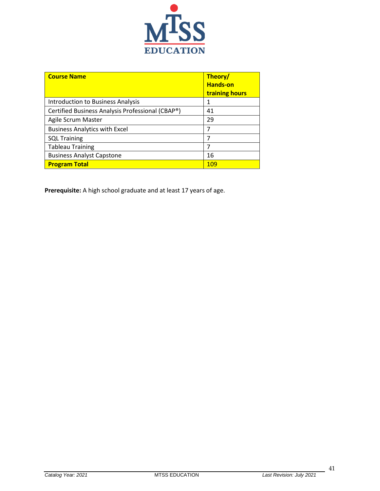

| <b>Course Name</b>                               | Theory/<br><b>Hands-on</b><br>training hours |
|--------------------------------------------------|----------------------------------------------|
| Introduction to Business Analysis                | 1                                            |
| Certified Business Analysis Professional (CBAP®) | 41                                           |
| Agile Scrum Master                               | 29                                           |
| <b>Business Analytics with Excel</b>             | 7                                            |
| <b>SQL Training</b>                              | 7                                            |
| <b>Tableau Training</b>                          | 7                                            |
| <b>Business Analyst Capstone</b>                 | 16                                           |
| <b>Program Total</b>                             | 109                                          |

**Prerequisite:** A high school graduate and at least 17 years of age.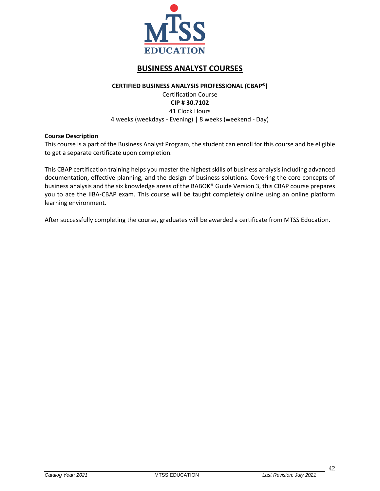

# **BUSINESS ANALYST COURSES**

#### **CERTIFIED BUSINESS ANALYSIS PROFESSIONAL (CBAP®)**

## Certification Course **CIP # 30.7102** 41 Clock Hours 4 weeks (weekdays - Evening) | 8 weeks (weekend - Day)

### <span id="page-42-0"></span>**Course Description**

This course is a part of the Business Analyst Program, the student can enroll for this course and be eligible to get a separate certificate upon completion.

This CBAP certification training helps you master the highest skills of business analysis including advanced documentation, effective planning, and the design of business solutions. Covering the core concepts of business analysis and the six knowledge areas of the BABOK® Guide Version 3, this CBAP course prepares you to ace the IIBA-CBAP exam. This course will be taught completely online using an online platform learning environment.

After successfully completing the course, graduates will be awarded a certificate from MTSS Education.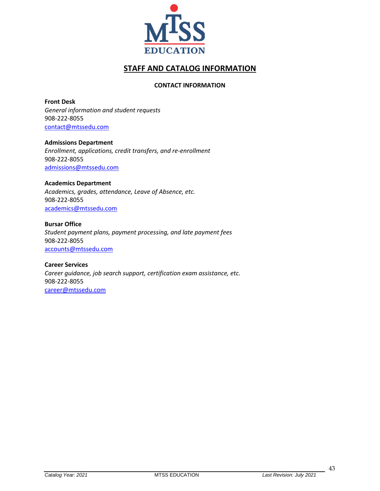

# **STAFF AND CATALOG INFORMATION**

## **CONTACT INFORMATION**

<span id="page-43-1"></span><span id="page-43-0"></span>**Front Desk** *General information and student requests* 908-222-8055 [contact@mtssedu.com](mailto:contact@mtssedu.com)

**Admissions Department** *Enrollment, applications, credit transfers, and re-enrollment* 908-222-8055 [admissions@mtssedu.com](mailto:admissions@mtssedu.com)

#### **Academics Department**

*Academics, grades, attendance, Leave of Absence, etc.* 908-222-8055 [academics@mtssedu.com](mailto:academics@mtssedu.com)

**Bursar Office**

*Student payment plans, payment processing, and late payment fees* 908-222-8055 [accounts@mtssedu.com](mailto:accounts@mtssedu.com)

**Career Services** *Career guidance, job search support, certification exam assistance, etc.* 908-222-8055 [career@mtssedu.com](mailto:career@mtssedu.com)